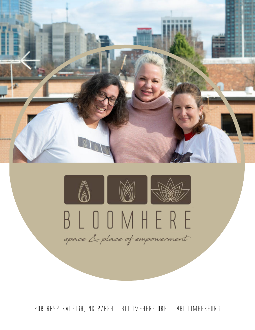

POB 6642 Raleigh, NC 27628 bloom-here.org @bloomhereorg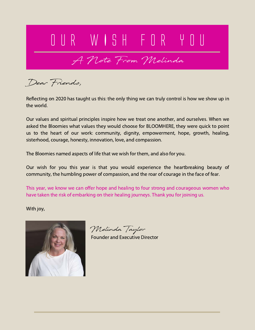## O U R W I S H F O R Y O U

A Note From Melinda

Dear Friends,

Reflecting on 2020 has taught us this: the only thing we can truly control is how we show up in the world.

Our values and spiritual principles inspire how we treat one another, and ourselves. When we asked the Bloomies what values they would choose for BLOOMHERE, they were quick to point us to the heart of our work: community, dignity, empowerment, hope, growth, healing, sisterhood, courage, honesty, innovation, love, and compassion.

The Bloomies named aspects of life that we wish for them, and also for you.

Our wish for you this year is that you would experience the heartbreaking beauty of community, the humbling power of compassion, and the roar of courage in the face of fear.

This year, we know we can offer hope and healing to four strong and courageous women who have taken the risk of embarking on their healing journeys. Thank you for joining us.

With joy,



Melinda Taylor

Founder and Executive Director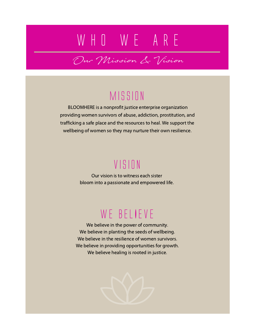## W H O W E A R E

Our Mission & Vision

### Mission

BLOOMHERE is a nonprofit justice enterprise organization providing women survivors of abuse, addiction, prostitution, and trafficking a safe place and the resources to heal. We support the wellbeing of women so they may nurture their own resilience.

### Vision

Our vision is to witness each sister bloom into a passionate and empowered life.

### WE BELIEVE

We believe in the power of community. We believe in planting the seeds of wellbeing. We believe in the resilience of women survivors. We believe in providing opportunities for growth. We believe healing is rooted in justice.

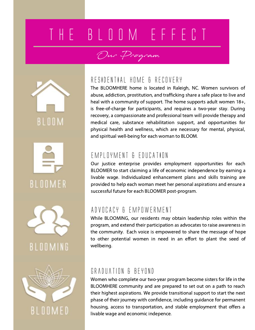# T H E B L O O M E F F E C T

### Our Program







BLOOMING



#### RESIDENTIAL HOME & RECOVERY

The BLOOMHERE home is located in Raleigh, NC. Women survivors of abuse, addiction, prostitution, and trafficking share a safe place to live and heal with a community of support. The home supports adult women 18+, is free-of-charge for participants, and requires a two-year stay. During recovery, a compassionate and professional team will provide therapy and medical care, substance rehabilitation support, and opportunities for physical health and wellness, which are necessary for mental, physical, and spiritual well-being for each woman to BLOOM.

#### EMPLOYMENT & EDUCATION

Our justice enterprise provides employment opportunities for each BLOOMER to start claiming a life of economic independence by earning a livable wage. Individualized enhancement plans and skills training are provided to help each woman meet her personal aspirations and ensure a successful future for each BLOOMER post-program.

#### ADVOCACY & EMPOWERMENT

While BLOOMING, our residents may obtain leadership roles within the program, and extend their participation as advocates to raise awareness in the community. Each voice is empowered to share the message of hope to other potential women in need in an effort to plant the seed of wellbeing.

#### GRADUATION & BEYOND

Women who complete our two-year program become sisters for life in the BLOOMHERE community and are prepared to set out on a path to reach their highest aspirations. We provide transitional support to start the next phase of their journey with confidence, including guidance for permanent housing, access to transportation, and stable employment that offers a livable wage and economic indepence.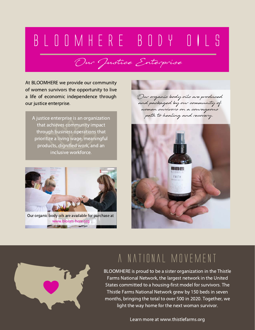# B L O O M H E R E B O D Y O I L S

Our Justice Enterprise

At BLOOMHERE we provide our community of women survivors the opportunity to live a life of economic independence through our justice enterprise.

A justice enterprise is an organization that achieves community impact through business operations that prioritize a living wage, meaningful products, dignified work, and an inclusive workforce.



Our organic body oils are available for purchase at www.bloom-here.org

Our organic body oils are produced and packaged by our community of women survivors on a courageous path to healing and recovery.





### a national movement

BLOOMHERE is proud to be a sister organization in the Thistle Farms National Network, the largest network in the United States committed to a housing-first model for survivors. The Thistle Farms National Network grew by 150 beds in seven months, bringing the total to over 500 in 2020. Together, we light the way home for the next woman survivor.

Learn more at www.thistlefarms.org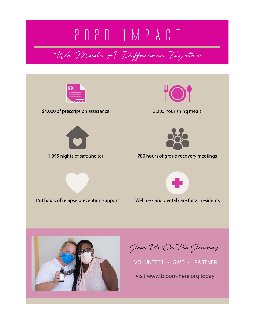## 2 0 2 0 I M P A C T

We Made A Difference Together



\$4,000 of prescription assistance 3,200 nourishing meals









1,095 nights of safe shelter 780 hours of group recovery meetings



Wellness and dental care for all residents



Join Us On The Journey

VOLUNTEER - GIVE - PARTNER

Visit www.bloom-here.org today!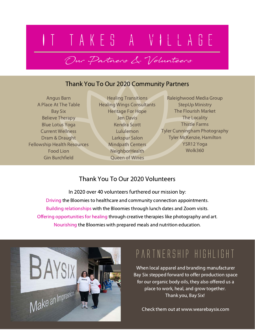### I T T A K E S A V I L L A G E 150 hours of relapse prevention support

#### Thank You To Our 2020 Community Partners

Our Partners & Volunteers

Angus Barn A Place At The Table Bay Six Believe Therapy Blue Lotus Yoga Current Wellness Dram & Draught Fellowship Health Resources Food Lion Gin Burchfield

Healing Transitions Healing Wings Consultants Heritage For Hope Jen Davis Kendra Scott Lululemon Larkspur Salon Mindpath Centers **NeighborHealth** Queen of Wines

Raleighwood Media Group StepUp Ministry The Flourish Market The Locality Thistle Farms Tyler Cunningham Photography Tyler McKenzie, Hamilton YSR12 Yoga Wolk360

#### Thank You To Our 2020 Volunteers

In 2020 over 40 volunteers furthered our mission by: Driving the Bloomies to healthcare and community connection appointments. Building relationships with the Bloomies through lunch dates and Zoom visits. Nourishing the Bloomies with prepared meals and nutrition education. Offering opportunities for healing through creative therapies like photography and art.



### partnership highlight

When local apparel and branding manufacturer Bay Six stepped forward to offer production space for our organic body oils, they also offered us a place to work, heal, and grow together. Thank you, Bay Six!

Check them out at www.wearebaysix.com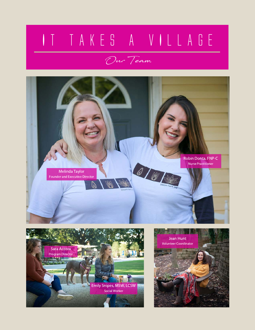# I T T A K E S A V I L L A G E

Our Team





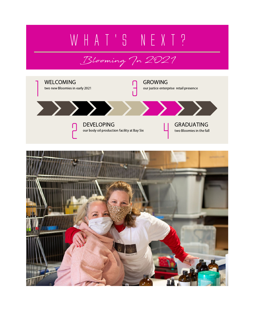# W H A T ' S N E X T ?

### Blooming In 2021